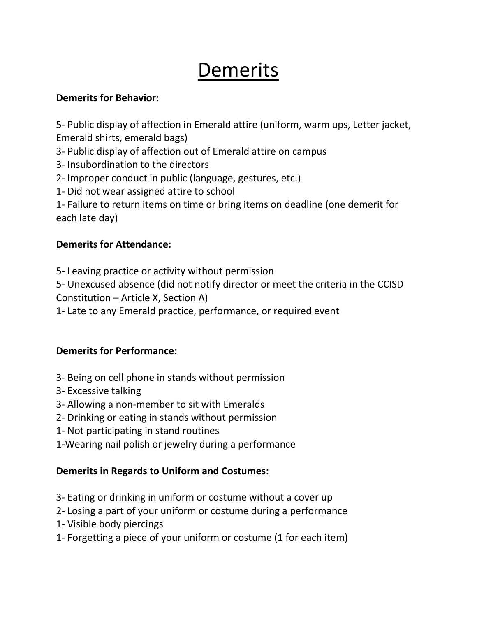# **Demerits**

#### **Demerits for Behavior:**

5- Public display of affection in Emerald attire (uniform, warm ups, Letter jacket, Emerald shirts, emerald bags)

- 3- Public display of affection out of Emerald attire on campus
- 3- Insubordination to the directors
- 2- Improper conduct in public (language, gestures, etc.)
- 1- Did not wear assigned attire to school
- 1- Failure to return items on time or bring items on deadline (one demerit for each late day)

#### **Demerits for Attendance:**

5- Leaving practice or activity without permission

5- Unexcused absence (did not notify director or meet the criteria in the CCISD Constitution – Article X, Section A)

1- Late to any Emerald practice, performance, or required event

#### **Demerits for Performance:**

- 3- Being on cell phone in stands without permission
- 3- Excessive talking
- 3- Allowing a non-member to sit with Emeralds
- 2- Drinking or eating in stands without permission
- 1- Not participating in stand routines
- 1-Wearing nail polish or jewelry during a performance

### **Demerits in Regards to Uniform and Costumes:**

- 3- Eating or drinking in uniform or costume without a cover up
- 2- Losing a part of your uniform or costume during a performance
- 1- Visible body piercings
- 1- Forgetting a piece of your uniform or costume (1 for each item)